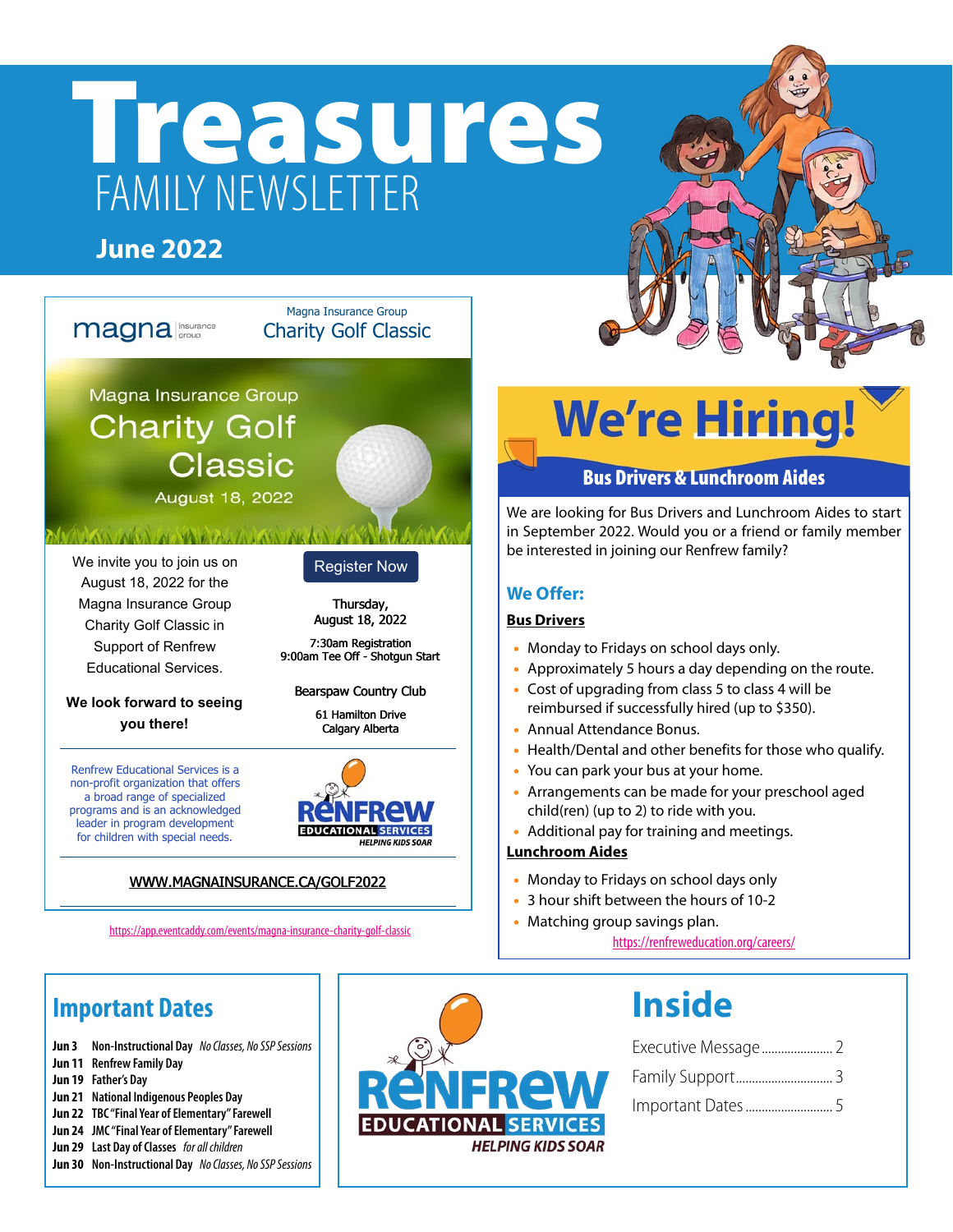# Treasures FAMILY NEWSLETTER

Magna Insurance Group Charity Golf Classic

### **June 2022**

magna insurance



Magna Insurance Group **Charity Golf Classic** 

### ALL MALE VALUE

August 18, 2022

### We invite you to join us on August 18, 2022 for the Magna Insurance Group Charity Golf Classic in Support of Renfrew Educational Services.

### **We look forward to seeing you there!**

Renfrew Educational Services is a non-profit organization that offers a broad range of specialized programs and is an acknowledged leader in program development for children with special needs.

### Register Now

Thursday, August 18, 2022

7:30am Registration 9:00am Tee Off - Shotgun Start

Bearspaw Country Club

61 Hamilton Drive Calgary Alberta



### [WWW.MAGNAINSURANCE.CA/GOLF2022](https://app.eventcaddy.com/events/magna-insurance-charity-golf-classic)

<https://app.eventcaddy.com/events/magna-insurance-charity-golf-classic>

# **We're Hiring!**

### Bus Drivers & Lunchroom Aides

We are looking for Bus Drivers and Lunchroom Aides to start in September 2022. Would you or a friend or family member be interested in joining our Renfrew family?

### **We Offer:**

### **Bus Drivers**

- Monday to Fridays on school days only.
- Approximately 5 hours a day depending on the route.
- Cost of upgrading from class 5 to class 4 will be reimbursed if successfully hired (up to \$350).
- Annual Attendance Bonus.
- Health/Dental and other benefits for those who qualify.
- You can park your bus at your home.
- Arrangements can be made for your preschool aged child(ren) (up to 2) to ride with you.
- Additional pay for training and meetings.

### **Lunchroom Aides**

- Monday to Fridays on school days only
- 3 hour shift between the hours of 10-2
- Matching group savings plan.

<https://renfreweducation.org/careers/>

### **Important Dates**

- **Jun 3 Non-Instructional Day** *No Classes, No SSP Sessions*
- **Jun 11 Renfrew Family Day**
- **Jun 19 Father's Day**
- **Jun 21 National Indigenous Peoples Day**
- **Jun 22 TBC "Final Year of Elementary" Farewell**
- **Jun 24 JMC "Final Year of Elementary" Farewell**
- **Jun 29 Last Day of Classes** *for all children*
- **Jun 30 Non-Instructional Day** *No Classes, No SSP Sessions*



## **Inside**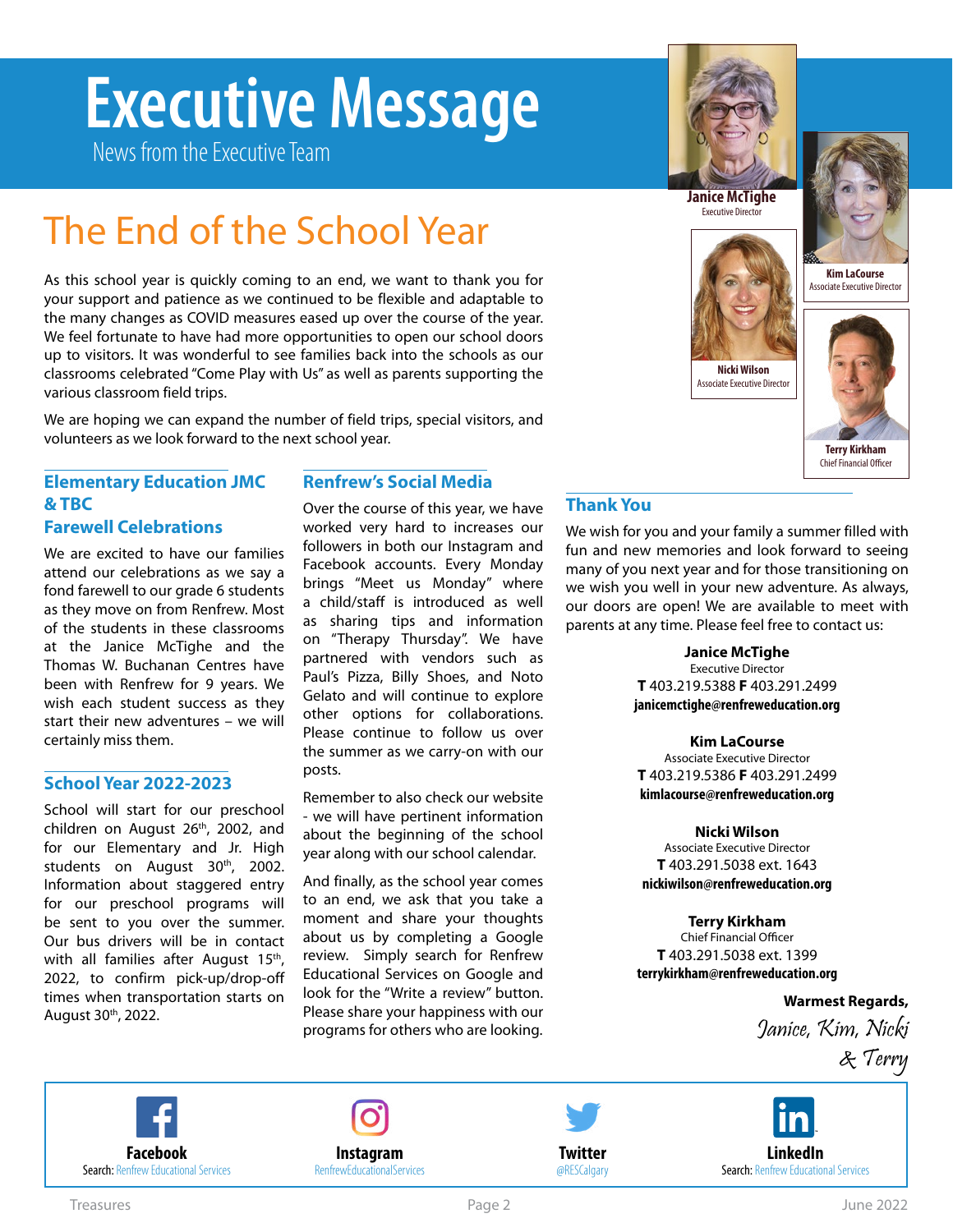# <span id="page-1-0"></span>**Executive Message**

News from the Executive Team

The End of the School Year

As this school year is quickly coming to an end, we want to thank you for your support and patience as we continued to be flexible and adaptable to the many changes as COVID measures eased up over the course of the year. We feel fortunate to have had more opportunities to open our school doors up to visitors. It was wonderful to see families back into the schools as our classrooms celebrated "Come Play with Us" as well as parents supporting the

We are hoping we can expand the number of field trips, special visitors, and

### **Janice McTighe**  Executive Director



**Kim LaCourse** Associate Executive Director



### **Elementary Education JMC & TBC**

volunteers as we look forward to the next school year.

### **Farewell Celebrations**

various classroom field trips.

We are excited to have our families attend our celebrations as we say a fond farewell to our grade 6 students as they move on from Renfrew. Most of the students in these classrooms at the Janice McTighe and the Thomas W. Buchanan Centres have been with Renfrew for 9 years. We wish each student success as they start their new adventures – we will certainly miss them.

### **School Year 2022-2023**

School will start for our preschool children on August 26<sup>th</sup>, 2002, and for our Elementary and Jr. High students on August 30<sup>th</sup>, 2002. Information about staggered entry for our preschool programs will be sent to you over the summer. Our bus drivers will be in contact with all families after August 15<sup>th</sup>, 2022, to confirm pick-up/drop-off times when transportation starts on August 30th, 2022.

### **Renfrew's Social Media**

Over the course of this year, we have worked very hard to increases our followers in both our Instagram and Facebook accounts. Every Monday brings "Meet us Monday" where a child/staff is introduced as well as sharing tips and information on "Therapy Thursday". We have partnered with vendors such as Paul's Pizza, Billy Shoes, and Noto Gelato and will continue to explore other options for collaborations. Please continue to follow us over the summer as we carry-on with our posts.

Remember to also check our website - we will have pertinent information about the beginning of the school year along with our school calendar.

And finally, as the school year comes to an end, we ask that you take a moment and share your thoughts about us by completing a Google review. Simply search for Renfrew Educational Services on Google and look for the "Write a review" button. Please share your happiness with our programs for others who are looking.

### **Thank You**

We wish for you and your family a summer filled with fun and new memories and look forward to seeing many of you next year and for those transitioning on we wish you well in your new adventure. As always, our doors are open! We are available to meet with parents at any time. Please feel free to contact us:

**Nicki Wilson** Associate Executive Director

### **Janice McTighe**

Executive Director **T** 403.219.5388 **F** 403.291.2499 **[janicemctighe@renfreweducation.org](mailto:janicemctighe%40renfreweducation.org?subject=)**

**Kim LaCourse** Associate Executive Director **T** 403.219.5386 **F** 403.291.2499 **[kimlacourse@renfreweducation.org](mailto:kimlacourse%40renfreweducation.org?subject=)**

### **Nicki Wilson**

Associate Executive Director **T** 403.291.5038 ext. 1643 **[nickiwilson@renfreweducation.org](mailto:nickiwilson%40renfreweducation.org?subject=)**

### **Terry Kirkham**

Chief Financial Officer **T** 403.291.5038 ext. 1399 **[terrykirkham@renfreweducation.org](mailto:nickiwilson%40renfreweducation.org?subject=)**

**Warmest Regards,** 

Janice, Kim, Nicki & Terry







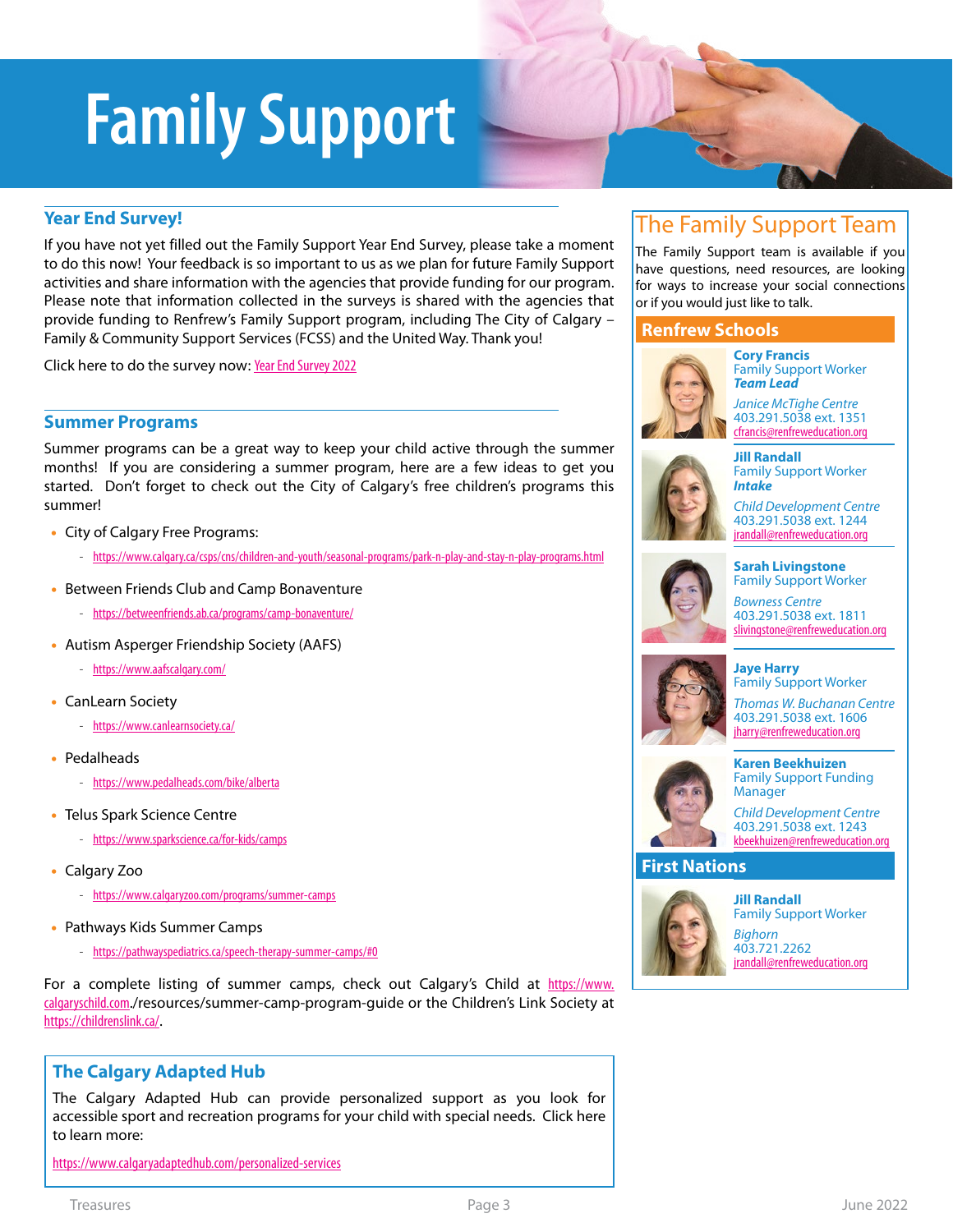# <span id="page-2-0"></span>**Family Support**

### **Year End Survey!**

If you have not yet filled out the Family Support Year End Survey, please take a moment to do this now! Your feedback is so important to us as we plan for future Family Support activities and share information with the agencies that provide funding for our program. Please note that information collected in the surveys is shared with the agencies that provide funding to Renfrew's Family Support program, including The City of Calgary – Family & Community Support Services (FCSS) and the United Way. Thank you!

Click here to do the survey now: [Year End Survey 2022](https://forms.office.com/Pages/ResponsePage.aspx?id=MMZcBOEtC0GjYh2nx3-mMK1xGRdlHVVBkjl7ENRPs7hUOTZUNk1STzVCNVZPOTlJNUM0R0hXV0dDOSQlQCN0PWcu)

### **Summer Programs**

Summer programs can be a great way to keep your child active through the summer months! If you are considering a summer program, here are a few ideas to get you started. Don't forget to check out the City of Calgary's free children's programs this summer!

- City of Calgary Free Programs:
	- *-* <https://www.calgary.ca/csps/cns/children-and-youth/seasonal-programs/park-n-play-and-stay-n-play-programs.html>
- Between Friends Club and Camp Bonaventure
	- *-* <https://betweenfriends.ab.ca/programs/camp-bonaventure/>
- Autism Asperger Friendship Society (AAFS)
	- *-* <https://www.aafscalgary.com/>
- CanLearn Society
	- *-* <https://www.canlearnsociety.ca/>
- Pedalheads
	- *-* <https://www.pedalheads.com/bike/alberta>
- Telus Spark Science Centre
	- *-* <https://www.sparkscience.ca/for-kids/camps>
- Calgary Zoo
	- *-* <https://www.calgaryzoo.com/programs/summer-camps>
- Pathways Kids Summer Camps
	- *-* <https://pathwayspediatrics.ca/speech-therapy-summer-camps/#0>

For a complete listing of summer camps, check out Calgary's Child at [https://www.](https://www.calgaryschild.com) [calgaryschild.com](https://www.calgaryschild.com)./resources/summer-camp-program-guide or the Children's Link Society at <https://childrenslink.ca/>.

### **The Calgary Adapted Hub**

The Calgary Adapted Hub can provide personalized support as you look for accessible sport and recreation programs for your child with special needs. Click here to learn more:

<https://www.calgaryadaptedhub.com/personalized-services>

### The Family Support Team

The Family Support team is available if you have questions, need resources, are looking for ways to increase your social connections or if you would just like to talk.

### **Renfrew Schools**



**Cory Francis** Family Support Worker *Team Lead*

*Janice McTighe Centre* 403.291.5038 ext. 1351 [cfrancis@renfreweducation.org](mailto:cfrancis@renfreweducation.org)



*Child Development Centre* 403.291.5038 ext. 1244 irandall@renfreweducation.org

Family Support Worker *Bowness Centre* 403.291.5038 ext. 1811 [slivingstone@renfreweducation.org](mailto:slivingstone@renfreweducation.org)

**Sarah Livingstone**



Family Support Worker *Thomas W. Buchanan Centre* 403.291.5038 ext. 1606 [jharry@renfreweducation.org](mailto:jharry@renfreweducation.org)



#### **Karen Beekhuizen** Family Support Funding Manager

*Child Development Centre* 403.291.5038 ext. 1243 kbeekhuizen[@renfreweducation.org](mailto:jharry@renfreweducation.org)

### **First Nations**



**Jill Randall** Family Support Worker *Bighorn* 403.721.2262 [jrandall@renfreweducation.org](mailto:jrandall@renfreweducation.org)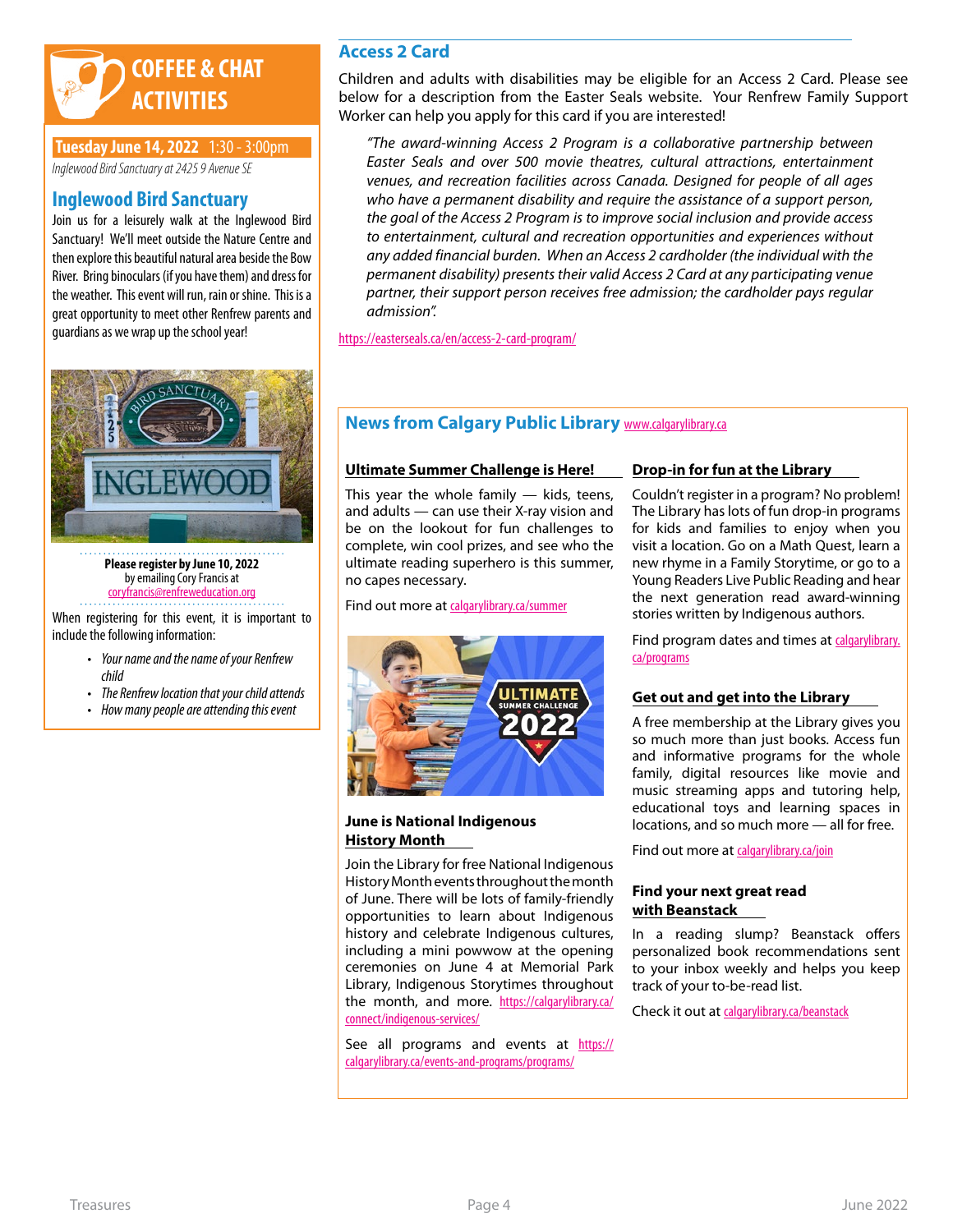

### **Tuesday June 14, 2022** 1:30 - 3:00pm

*Inglewood Bird Sanctuary at 2425 9 Avenue SE* 

### **Inglewood Bird Sanctuary**

Join us for a leisurely walk at the Inglewood Bird Sanctuary! We'll meet outside the Nature Centre and then explore this beautiful natural area beside the Bow River. Bring binoculars (if you have them) and dress for the weather. This event will run, rain or shine. This is a great opportunity to meet other Renfrew parents and guardians as we wrap up the school year!



**Please register by June 10, 2022** by emailing Cory Francis at coryfranci[s@renfreweducation.org](mailto:SarahLivingstone%40renfreweducation.org?subject=Treehouse%20-%20May%2026%2C%202022)

When registering for this event, it is important to include the following information:

- *• Your name and the name of your Renfrew child*
- *• The Renfrew location that your child attends*
- *• How many people are attending this event*

### **Access 2 Card**

Children and adults with disabilities may be eligible for an Access 2 Card. Please see below for a description from the Easter Seals website. Your Renfrew Family Support Worker can help you apply for this card if you are interested!

*"The award-winning Access 2 Program is a collaborative partnership between Easter Seals and over 500 movie theatres, cultural attractions, entertainment venues, and recreation facilities across Canada. Designed for people of all ages who have a permanent disability and require the assistance of a support person, the goal of the Access 2 Program is to improve social inclusion and provide access to entertainment, cultural and recreation opportunities and experiences without any added financial burden. When an Access 2 cardholder (the individual with the permanent disability) presents their valid Access 2 Card at any participating venue partner, their support person receives free admission; the cardholder pays regular admission".*

<https://easterseals.ca/en/access-2-card-program/>

### **News from Calgary Public Library <b>[www.calgarylibrary.ca](https://calgarylibrary.ca/)**

#### **Ultimate Summer Challenge is Here!**

This year the whole family  $-$  kids, teens, and adults — can use their X-ray vision and be on the lookout for fun challenges to complete, win cool prizes, and see who the ultimate reading superhero is this summer, no capes necessary.

Find out more at [calgarylibrary.ca/summer](http://calgarylibrary.ca/summer)



**June is National Indigenous History Month**

Join the Library for free National Indigenous History Month events throughout the month of June. There will be lots of family-friendly opportunities to learn about Indigenous history and celebrate Indigenous cultures, including a mini powwow at the opening ceremonies on June 4 at Memorial Park Library, Indigenous Storytimes throughout the month, and more. [https://calgarylibrary.ca/](https://calgarylibrary.ca/connect/indigenous-services/) [connect/indigenous-services/](https://calgarylibrary.ca/connect/indigenous-services/)

See all programs and events at [https://](https://calgarylibrary.ca/events-and-programs/programs/) [calgarylibrary.ca/events-and-programs/programs/](https://calgarylibrary.ca/events-and-programs/programs/)

#### **Drop-in for fun at the Library**

Couldn't register in a program? No problem! The Library has lots of fun drop-in programs for kids and families to enjoy when you visit a location. Go on a Math Quest, learn a new rhyme in a Family Storytime, or go to a Young Readers Live Public Reading and hear the next generation read award-winning stories written by Indigenous authors.

Find program dates and times at [calgarylibrary.](http://calgarylibrary.ca/programs) [ca/programs](http://calgarylibrary.ca/programs)

### **Get out and get into the Library**

A free membership at the Library gives you so much more than just books. Access fun and informative programs for the whole family, digital resources like movie and music streaming apps and tutoring help, educational toys and learning spaces in locations, and so much more — all for free.

Find out more at [calgarylibrary.ca/join](http://calgarylibrary.ca/join)

### **Find your next great read with Beanstack**

In a reading slump? Beanstack offers personalized book recommendations sent to your inbox weekly and helps you keep track of your to-be-read list.

Check it out at [calgarylibrary.ca/beanstack](http://calgarylibrary.ca/beanstack)